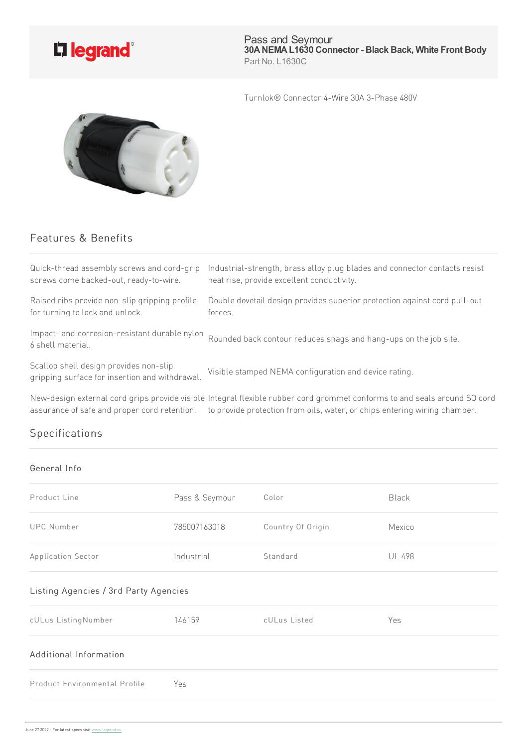

Pass and Seymour **30ANEMAL1630 Connector - Black Back, White Front Body** Part No. L1630C

Turnlok® Connector 4-Wire 30A 3-Phase 480V



## Features & Benefits

| Quick-thread assembly screws and cord-grip                                               | Industrial-strength, brass alloy plug blades and connector contacts resist |
|------------------------------------------------------------------------------------------|----------------------------------------------------------------------------|
| screws come backed-out, ready-to-wire.                                                   | heat rise, provide excellent conductivity.                                 |
| Raised ribs provide non-slip gripping profile                                            | Double dovetail design provides superior protection against cord pull-out  |
| for turning to lock and unlock.                                                          | forces.                                                                    |
| Impact- and corrosion-resistant durable nylon<br>6 shell material.                       | Rounded back contour reduces snags and hang-ups on the job site.           |
| Scallop shell design provides non-slip<br>gripping surface for insertion and withdrawal. | Visible stamped NEMA configuration and device rating.                      |

New-design external cord grips provide visible Integral flexible rubber cord grommet conforms to and seals around SO cord assurance of safe and proper cord retention. to provide protection from oils, water, or chips entering wiring chamber.

## Specifications

## General Info

| Product Line                          | Pass & Seymour | Color             | <b>Black</b>  |  |
|---------------------------------------|----------------|-------------------|---------------|--|
| <b>UPC Number</b>                     | 785007163018   | Country Of Origin | Mexico        |  |
| Application Sector                    | Industrial     | Standard          | <b>UL 498</b> |  |
| Listing Agencies / 3rd Party Agencies |                |                   |               |  |
| cULus ListingNumber                   | 146159         | cULus Listed      | Yes           |  |
| Additional Information                |                |                   |               |  |
| Product Environmental Profile         | Yes            |                   |               |  |
|                                       |                |                   |               |  |